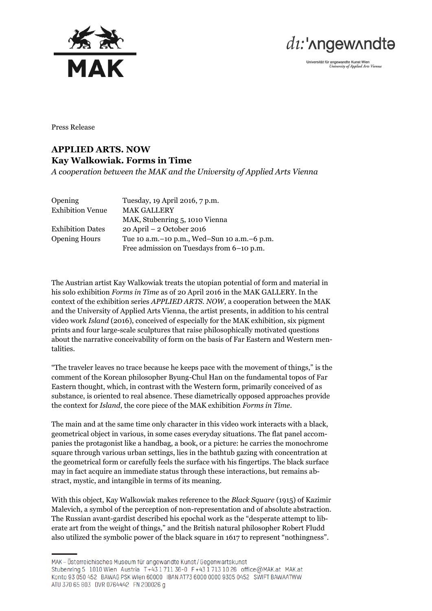



Universität für angewandte Kunst Wien<br>University of Applied Arts Vienna

Press Release

## **APPLIED ARTS. NOW Kay Walkowiak. Forms in Time**

*A cooperation between the MAK and the University of Applied Arts Vienna*

| Opening                 | Tuesday, 19 April 2016, 7 p.m.                  |
|-------------------------|-------------------------------------------------|
| <b>Exhibition Venue</b> | <b>MAK GALLERY</b>                              |
|                         | MAK, Stubenring 5, 1010 Vienna                  |
| <b>Exhibition Dates</b> | $20$ April $-2$ October 2016                    |
| <b>Opening Hours</b>    | Tue 10 a.m. – 10 p.m., Wed–Sun 10 a.m. – 6 p.m. |
|                         | Free admission on Tuesdays from 6-10 p.m.       |

The Austrian artist Kay Walkowiak treats the utopian potential of form and material in his solo exhibition *Forms in Time* as of 20 April 2016 in the MAK GALLERY. In the context of the exhibition series *APPLIED ARTS. NOW*, a cooperation between the MAK and the University of Applied Arts Vienna, the artist presents, in addition to his central video work *Island* (2016), conceived of especially for the MAK exhibition, six pigment prints and four large-scale sculptures that raise philosophically motivated questions about the narrative conceivability of form on the basis of Far Eastern and Western mentalities.

"The traveler leaves no trace because he keeps pace with the movement of things," is the comment of the Korean philosopher Byung-Chul Han on the fundamental topos of Far Eastern thought, which, in contrast with the Western form, primarily conceived of as substance, is oriented to real absence. These diametrically opposed approaches provide the context for *Island*, the core piece of the MAK exhibition *Forms in Time*.

The main and at the same time only character in this video work interacts with a black, geometrical object in various, in some cases everyday situations. The flat panel accompanies the protagonist like a handbag, a book, or a picture: he carries the monochrome square through various urban settings, lies in the bathtub gazing with concentration at the geometrical form or carefully feels the surface with his fingertips. The black surface may in fact acquire an immediate status through these interactions, but remains abstract, mystic, and intangible in terms of its meaning.

With this object, Kay Walkowiak makes reference to the *Black Square* (1915) of Kazimir Malevich, a symbol of the perception of non-representation and of absolute abstraction. The Russian avant-gardist described his epochal work as the "desperate attempt to liberate art from the weight of things," and the British natural philosopher Robert Fludd also utilized the symbolic power of the black square in 1617 to represent "nothingness".

MAK - Österreichisches Museum für angewandte Kunst/Gegenwartskunst Stubenring 5 1010 Wien Austria T+43 1 711 36-0 F+43 1 713 10 26 office@MAK.at MAK.at Konto 93 050 452 BAWAG PSK Wien 60000 IBAN AT73 6000 0000 9305 0452 SWIFT BAWAATWW ATU 370 65 803 DVR 0764442 FN 200026 g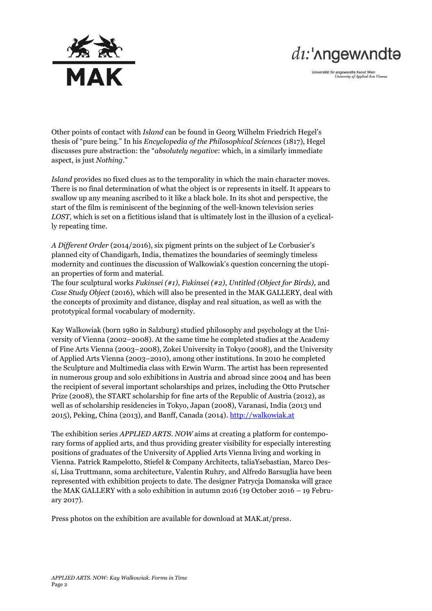

## $di$ :' $\Lambda$ ngew $\Lambda$ ndtə

Universität für angewandte Kunst Wien<br>University of Applied Arts Vienna

Other points of contact with *Island* can be found in Georg Wilhelm Friedrich Hegel's thesis of "pure being." In his *Encyclopedia of the Philosophical Sciences* (1817), Hegel discusses pure abstraction: the "*absolutely negative*: which, in a similarly immediate aspect, is just *Nothing*."

*Island* provides no fixed clues as to the temporality in which the main character moves. There is no final determination of what the object is or represents in itself. It appears to swallow up any meaning ascribed to it like a black hole. In its shot and perspective, the start of the film is reminiscent of the beginning of the well-known television series *LOST*, which is set on a fictitious island that is ultimately lost in the illusion of a cyclically repeating time.

*A Different Order* (2014/2016), six pigment prints on the subject of Le Corbusier's planned city of Chandigarh, India, thematizes the boundaries of seemingly timeless modernity and continues the discussion of Walkowiak's question concerning the utopian properties of form and material.

The four sculptural works *Fukinsei (#1)*, *Fukinsei (#2)*, *Untitled (Object for Birds),* and *Case Study Object* (2016), which will also be presented in the MAK GALLERY, deal with the concepts of proximity and distance, display and real situation, as well as with the prototypical formal vocabulary of modernity.

Kay Walkowiak (born 1980 in Salzburg) studied philosophy and psychology at the University of Vienna (2002–2008). At the same time he completed studies at the Academy of Fine Arts Vienna (2003–2008), Zokei University in Tokyo (2008), and the University of Applied Arts Vienna (2003–2010), among other institutions. In 2010 he completed the Sculpture and Multimedia class with Erwin Wurm. The artist has been represented in numerous group and solo exhibitions in Austria and abroad since 2004 and has been the recipient of several important scholarships and prizes, including the Otto Prutscher Prize (2008), the START scholarship for fine arts of the Republic of Austria (2012), as well as of scholarship residencies in Tokyo, Japan (2008), Varanasi, India (2013 und 2015), Peking, China (2013), and Banff, Canada (2014). [http://walkowiak.at](http://walkowiak.at/)

The exhibition series *APPLIED ARTS. NOW* aims at creating a platform for contemporary forms of applied arts, and thus providing greater visibility for especially interesting positions of graduates of the University of Applied Arts Vienna living and working in Vienna. Patrick Rampelotto, Stiefel & Company Architects, taliaYsebastian, Marco Dessí, Lisa Truttmann, soma architecture, Valentin Ruhry, and Alfredo Barsuglia have been represented with exhibition projects to date. The designer Patrycja Domanska will grace the MAK GALLERY with a solo exhibition in autumn 2016 (19 October 2016 – 19 February 2017).

Press photos on the exhibition are available for download at MAK.at/press.